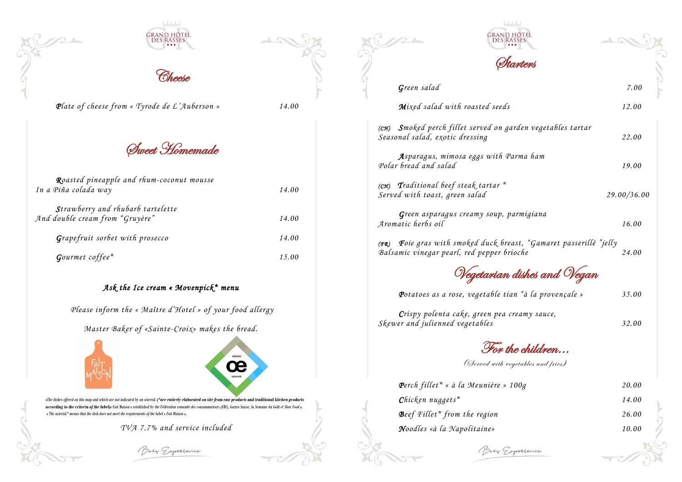





*Plate of cheese from « Tyrode de L'Auberson » 14.00*

Sweet Homemade

| Roasted pineapple and rhum-coconut mousse<br>In a Piña colada way    | 14.00 |
|----------------------------------------------------------------------|-------|
| Strawberry and rhubarb tartelette<br>And double cream from "Gruyère" | 14.00 |
| Grapefruit sorbet with prosecco                                      | 14.00 |
| $G\text{current coffee}^*$                                           |       |

## *Ask the Ice cream « Movenpick\* menu*

*Please inform the « Maître d'Hotel » of your food allergy*

*Master Baker of «Sainte-Croix» makes the bread.*





*(CH)* Smoked perch fillet served on garden *Seasonal salad, exotic dressing 22.00*

Asparagus, mimosa eggs with Pa *Polar bread and salad 19.00*

*( CH) Traditional beef steak tartar \**   $Served$  with toast, green salad

Green asparagus creamy soup, pa *Aromatic herbs oil* 

*(FR)* Foie gras with smoked duck breast *Balsamic vinegar pearl, red pepper brio* 

Wegetarian d

*«The dishes offered on this map and which are not indicated by an asterisk (\*are entirely elaborated on site from raw products and traditional kitchen products according to the criteria of the label)« Fait Maison » established by the Fédération romande des consommateurs (FRC), Gastro Suisse, la Semaine du Goût et Slow Food ».* « *The asterisk\* means that the dish does not meet the requirements of the label « Fait Maison ».*

*Crispy polenta cake, green pea creamy sauce, Skewer and julienned vegetables* 

For the

(Served with veg

 *Perch fillet\* « à la Meunière » 100g 20.00*  $Chicken$  *nuggets*<sup>\*</sup> Beef Fillet<sup>\*</sup> from the region  $N$ oodles «à la Napolitaine»

Boay Gyperience

*TVA 7.7% and service included*

Boay Gyperience





Green salad

*Mixed salad with roasted seeds* 

| RAND HÕTE <mark>l</mark><br>Des rasses             |             |
|----------------------------------------------------|-------------|
| Starters                                           |             |
|                                                    | 7.00        |
| seeds                                              | 12.00       |
| on garden vegetables tartar                        | 22.00       |
| ith Parma ham                                      | 19.00       |
| $\imath r^*$                                       | 29.00/36.00 |
| up, parmigiana                                     | 16.00       |
| k breast, "Gamaret passerillé "jelly<br>er brioche | 24.00       |
| ian dishes and Veg<br>$\overline{\mathcal{J}}$     |             |
| le tian "à la provençale »                         | 35.00       |
| pea creamy sauce,                                  | 32.00       |
| or the children                                    |             |
| with vegetables and fries)                         |             |
| re » 100g                                          | 20.00       |
|                                                    | 14.00       |
| n                                                  | 26.00       |
|                                                    | 10.00       |

*Potatoes as a rose, vegetable tian "à la provençale » 35.00*